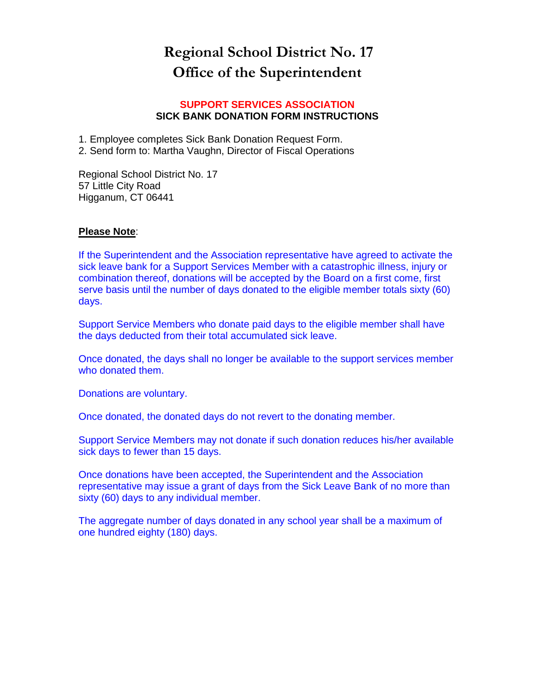## **Regional School District No. 17 Office of the Superintendent**

## **SUPPORT SERVICES ASSOCIATION SICK BANK DONATION FORM INSTRUCTIONS**

1. Employee completes Sick Bank Donation Request Form.

2. Send form to: Martha Vaughn, Director of Fiscal Operations

Regional School District No. 17 57 Little City Road Higganum, CT 06441

## **Please Note**:

If the Superintendent and the Association representative have agreed to activate the sick leave bank for a Support Services Member with a catastrophic illness, injury or combination thereof, donations will be accepted by the Board on a first come, first serve basis until the number of days donated to the eligible member totals sixty (60) days.

Support Service Members who donate paid days to the eligible member shall have the days deducted from their total accumulated sick leave.

Once donated, the days shall no longer be available to the support services member who donated them.

Donations are voluntary.

Once donated, the donated days do not revert to the donating member.

Support Service Members may not donate if such donation reduces his/her available sick days to fewer than 15 days.

Once donations have been accepted, the Superintendent and the Association representative may issue a grant of days from the Sick Leave Bank of no more than sixty (60) days to any individual member.

The aggregate number of days donated in any school year shall be a maximum of one hundred eighty (180) days.